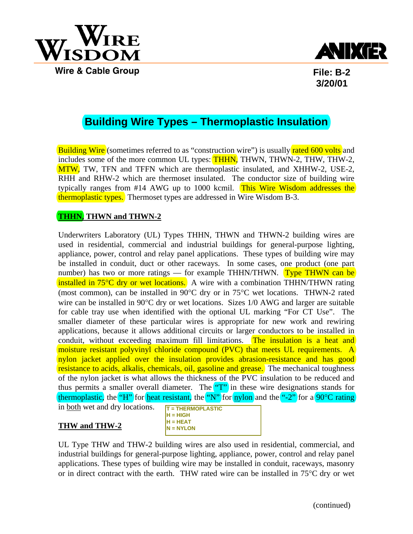



**File: B-2 3/20/01**

## **Building Wire Types – Thermoplastic Insulation**

Building Wire (sometimes referred to as "construction wire") is usually rated 600 volts and includes some of the more common UL types: **THHN**, THWN, THWN-2, THW, THW-2, MTW, TW, TFN and TFFN which are thermoplastic insulated, and XHHW-2, USE-2, RHH and RHW-2 which are thermoset insulated. The conductor size of building wire typically ranges from #14 AWG up to 1000 kcmil. This Wire Wisdom addresses the thermoplastic types. Thermoset types are addressed in Wire Wisdom B-3.

### **THHN, THWN and THWN-2**

Underwriters Laboratory (UL) Types THHN, THWN and THWN-2 building wires are used in residential, commercial and industrial buildings for general-purpose lighting, appliance, power, control and relay panel applications. These types of building wire may be installed in conduit, duct or other raceways. In some cases, one product (one part number) has two or more ratings — for example THHN/THWN. Type THWN can be installed in  $75^{\circ}$ C dry or wet locations. A wire with a combination THHN/THWN rating (most common), can be installed in 90°C dry or in 75°C wet locations. THWN-2 rated wire can be installed in 90°C dry or wet locations. Sizes 1/0 AWG and larger are suitable for cable tray use when identified with the optional UL marking "For CT Use". The smaller diameter of these particular wires is appropriate for new work and rewiring applications, because it allows additional circuits or larger conductors to be installed in conduit, without exceeding maximum fill limitations. The insulation is a heat and moisture resistant polyvinyl chloride compound (PVC) that meets UL requirements. A nylon jacket applied over the insulation provides abrasion-resistance and has good resistance to acids, alkalis, chemicals, oil, gasoline and grease. The mechanical toughness of the nylon jacket is what allows the thickness of the PVC insulation to be reduced and thus permits a smaller overall diameter. The  $"T"$  in these wire designations stands for thermoplastic, the "H" for heat resistant, the "N" for nylon and the "-2" for a 90°C rating

in both wet and dry locations.

| <b>T = THERMOPLASTIC</b> |
|--------------------------|
| $H = HIGH$               |
| $H = HEAT$               |
| $N = NYLON$              |
|                          |

**THW and THW-2**

UL Type THW and THW-2 building wires are also used in residential, commercial, and industrial buildings for general-purpose lighting, appliance, power, control and relay panel applications. These types of building wire may be installed in conduit, raceways, masonry or in direct contract with the earth. THW rated wire can be installed in 75°C dry or wet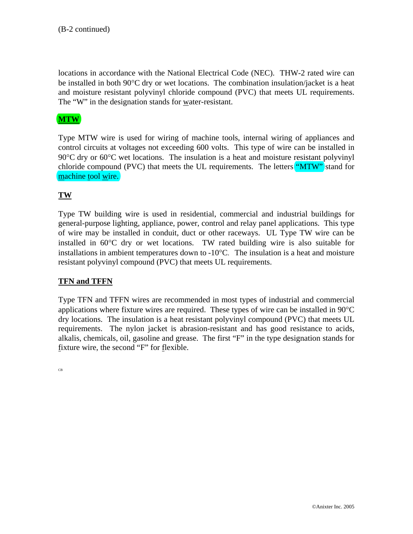locations in accordance with the National Electrical Code (NEC). THW-2 rated wire can be installed in both 90°C dry or wet locations. The combination insulation/jacket is a heat and moisture resistant polyvinyl chloride compound (PVC) that meets UL requirements. The "W" in the designation stands for water-resistant.

### **MTW**

Type MTW wire is used for wiring of machine tools, internal wiring of appliances and control circuits at voltages not exceeding 600 volts. This type of wire can be installed in 90<sup>o</sup>C dry or 60<sup>o</sup>C wet locations. The insulation is a heat and moisture resistant polyvinyl chloride compound (PVC) that meets the UL requirements. The letters "MTW" stand for machine tool wire.

### **TW**

Type TW building wire is used in residential, commercial and industrial buildings for general-purpose lighting, appliance, power, control and relay panel applications. This type of wire may be installed in conduit, duct or other raceways. UL Type TW wire can be installed in 60°C dry or wet locations. TW rated building wire is also suitable for installations in ambient temperatures down to -10°C. The insulation is a heat and moisture resistant polyvinyl compound (PVC) that meets UL requirements.

### **TFN and TFFN**

Type TFN and TFFN wires are recommended in most types of industrial and commercial applications where fixture wires are required. These types of wire can be installed in 90°C dry locations. The insulation is a heat resistant polyvinyl compound (PVC) that meets UL requirements. The nylon jacket is abrasion-resistant and has good resistance to acids, alkalis, chemicals, oil, gasoline and grease. The first "F" in the type designation stands for fixture wire, the second "F" for flexible.

CB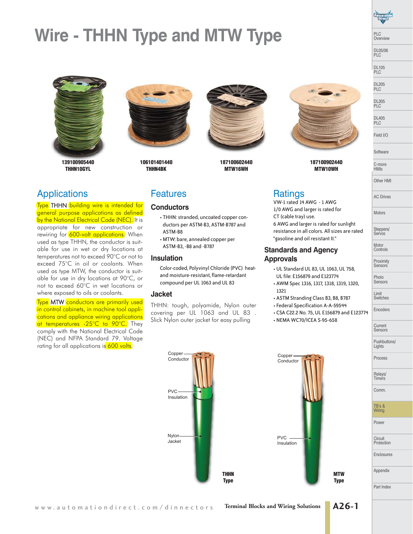# **Wire - THHN Type and MTW Type**



**139100905440 THHN10GYL**



**106101401440 THHN4BK**



**187100602440 MTW16WH**



PLC Overview DL05/06 PLC DL105 PLC DL205 PLC DL305 PLC DL405 PLC Field I/O

Software C-more HMIs Other HMI

AC Drives

Motors

Steppers/ Servos

Motor Controls Proximity **Sensors** 

Photo Sensors

Limit Switches Encoders

**Current** Sensors Pushbuttons/ Lights Process

Relays/ **Timers** Comm.

TB's & Wiring Power

**Circuit Protection** Enclosures

Appendix

Part Index

**187100902440 MTW10WH**

The Terms<br><mark>Type</mark> THHN <mark>building wire is intended for</mark> general purpose applications as defined by the National Electrical Code (NEC). It is appropriate for new construction or rewiring for 600-volt applications. When used as type THHN, the conductor is suitable for use in wet or dry locations at temperatures not to exceed 90°C or not to exceed 75°C in oil or coolants. When used as type MTW, the conductor is suitable for use in dry locations at 90°C, or not to exceed 60°C in wet locations or where exposed to oils or coolants.

Type MTW conductors are primarily used in control cabinets, in machine tool applications and appliance wiring applications at temperatures -25°C to 90°C. They comply with the National Electrical Code (NEC) and NFPA Standard 79. Voltage rating for all applications is 600 volts.

### **Features**

## Features **Conductors**

- THHN: stranded, uncoated copper conductors per ASTM-B3, ASTM-B787 and ASTM-B8
- MTW: bare, annealed copper per ASTM-B3, -B8 and -B787

### **Insulation**

Color-coded, Polyvinyl Chloride (PVC) heatand moisture-resistant, flame-retardant compound per UL 1063 and UL 83

### **Jacket**

THHN: tough, polyamide, Nylon outer covering per UL 1063 and UL 83 . Slick Nylon outer jacket for easy pulling

VW-1 rated 14 AWG - 1 AWG 1/0 AWG and larger is rated for CT (cable tray) use. 6 AWG and larger is rated for sunlight resistance in all colors. All sizes are rated "gasoline and oil resistant II."

### **Standards and Agency Approvals**

- UL Standard UL 83, UL 1063, UL 758 , UL file: E156879 and E123774
- AWM Spec 1316, 1317, 1318, 1319, 1320, 1321
- ASTM Stranding Class B3, B8, B787
- Federal Specification A-A-59544
- CSA C22.2 No. 75, UL E156879 and E123774
- NEMA WC70/ICEA S-95-658





**MTW Type**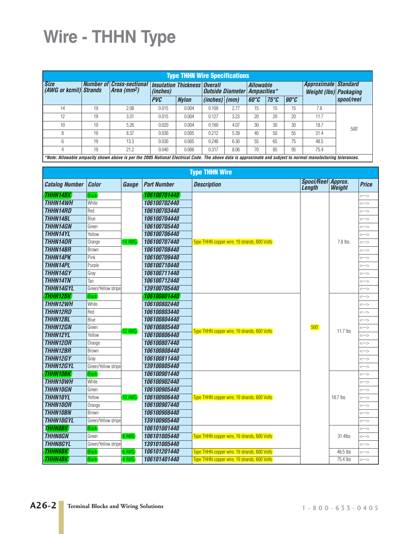# **Wire - THHN Type**

| <b>Type THHN Wire Specifications</b>                                                                                                                          |           |                                                   |                 |                                     |                                                         |      |                                                       |               |              |      |            |
|---------------------------------------------------------------------------------------------------------------------------------------------------------------|-----------|---------------------------------------------------|-----------------|-------------------------------------|---------------------------------------------------------|------|-------------------------------------------------------|---------------|--------------|------|------------|
| <b>Size</b><br>(AWG or kcmil) Strands                                                                                                                         | Number of | <b>Cross-sectional</b><br>Area (mm <sup>2</sup> ) | <i>(inches)</i> | <b>Insulation Thickness Overall</b> | <b>Allowable</b><br><b>Outside Diameter Ampacities*</b> |      | Approximate Standard<br><b>Weight (lbs) Packaging</b> |               |              |      |            |
|                                                                                                                                                               |           |                                                   | <b>PVC</b>      | <b>Nylon</b>                        | $(inches)$ (mm)                                         |      | $60^{\circ}C$                                         | $75^{\circ}C$ | $90^\circ C$ |      | spool/reel |
| 14                                                                                                                                                            | 19        | 2.08                                              | 0.015           | 0.004                               | 0.109                                                   | 2.77 | 15                                                    | 15            | 15           | 7.8  |            |
| 12                                                                                                                                                            | 19        | 3.31                                              | 0.015           | 0.004                               | 0.127                                                   | 3.23 | 20                                                    | 20            | 20           | 11.7 |            |
| 10                                                                                                                                                            | 19        | 5.26                                              | 0.020           | 0.004                               | 0.160                                                   | 4.07 | 30                                                    | 30            | 30           | 18.7 | 500'       |
| 8                                                                                                                                                             | 19        | 8.37                                              | 0.030           | 0.005                               | 0.212                                                   | 5.39 | 40                                                    | 50            | 55           | 31.4 |            |
| 6                                                                                                                                                             | 19        | 13.3                                              | 0.030           | 0.005                               | 0.248                                                   | 6.30 | 55                                                    | 65            | 75           | 48.5 |            |
| 4                                                                                                                                                             | 19        | 21.2                                              | 0.040           | 0.006                               | 0.317                                                   | 8.06 | 70                                                    | 85            | 95           | 75.4 |            |
| *Note: Allowable ampacity shown above is per the 2005 National Electrical Code. The above data is approximate and subject to normal manufacturing tolerances. |           |                                                   |                 |                                     |                                                         |      |                                                       |               |              |      |            |

**Type THHN Wire Catalog Number**  $|$  Color **Gauge**  $|$  Part Number **Description Length Approx. Weight Price THHN14BK Black** 14 AWG **106100701440** Type THHN copper wire, 19 strands, 600 Volts **THHN14OR** Orange **106100707440** <---> 500' 7.8 lbs.  $\rightarrow$ **THHN14WH** White **106100702440** <---> **THHN14RD** Red **106100703440** <---> **THHN14BL** Blue **106100704440** <---> **THHN14GN** Green **106100705440** <---> **THHN14YL** Yellow **106100706440 106100706440 THHN14BR** Brown **106100708440** <---> **THHN14PK** Pink **106100709440** <---> **THHN14PL** Purple **106100710440** <---> **THHN14GY** Gray **106100711440 Construction of the Construction of the Construction of the Construction of the Construction of the Construction of the Construction of the Construction of the Construction of the Constructi THHN14TN** Tan **106100712440 Tan <b>106100712440 THHN14GYL** Green/Yellow stripe **139100705440 CONSIDENTIAL CONSIDER A SCHOOL CONSIDERED ASSESSED. THHN12BK** Black 12 AWG **106100801440 THHN12GN** Green (12 AWG) **106100805440** Type THHN copper wire, 19 strands, 600 Volts (500<sup>°</sup> 11.7 lbs <sup><---></sup> <---> **THHN12WH White 106100802440 (2009) THHN12RD** Red **106100803440** <---> **THHN12BL** Blue **106100804440** <---> **THHN12YL** Yellow **106100806440** <---> **THHN12OR** Orange **106100807440** <---> **THHN12BR** Brown **106100808440** <---> **THHN12GY** | Gray **106100811440 | International Constant of the set of the set of the set of the set of the set o THHN12GYL** Green/Yellow stripe **139100805440 CONSUMPTER CONSUMPTER AND RELATED AT A SCHOOL CONSUMPTER CONSUMPTER CONSUMPTER A SCHOOL CONSUMPTER CONSUMPTER CONSUMPTER <b>CONSUMPTER THHN10BK** Black 10 AWG **106100901440 THHN10YL** Yellow (10 AWG) | 106100906440 | Type THHN copper wire, 19 strands, 600 Volts | | 18.7 lbs | <---> <---> **THHN10WH** White **106100902440** <---> **THHN10GN** Green **106100905440 Construction of the state of the state of the state of the state of the state of the state of the state of the state of the state of the state of the state of the state of the state of the THHN10OR** Orange **106100907440 COMBINE 106100907440 THHN10BN** Brown **106100908440** <---> **THHN10GYL** Green/Yellow stripe **139100905440** <---> **THHN8BK Black** 8 AWG **106101001440** Type THHN copper wire, 19 strands, 600 Volts 31.4lbs **THHN8GN** Green **106101005440** <--->  $\leftarrow$ **THHN8GYL** Green/Yellow stripe **139101005440** <---> **THHN6BK** Black 6 AWG **106101201440** Type THHN copper wire, 19 strands, 600 Volts 48.5 lbs <---> **THHN4BK** Black 4 AWG 1061014400 Type THHN copper wire, 19 strands, 600 Volts 75.4 lbs <--->